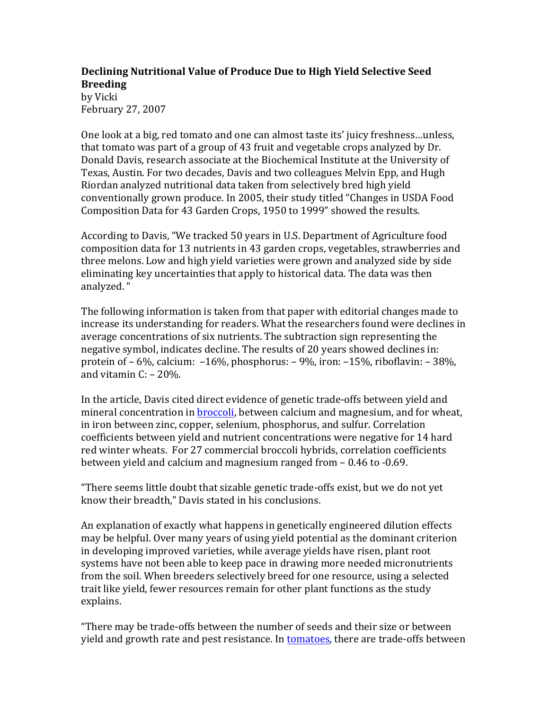## **Declining Nutritional Value of Produce Due to High Yield Selective Seed Breeding**

by Vicki February 27, 2007

One look at a big, red tomato and one can almost taste its' juicy freshness...unless, that tomato was part of a group of 43 fruit and vegetable crops analyzed by Dr. Donald Davis, research associate at the Biochemical Institute at the University of Texas, Austin. For two decades, Davis and two colleagues Melvin Epp, and Hugh Riordan analyzed nutritional data taken from selectively bred high yield conventionally grown produce. In 2005, their study titled "Changes in USDA Food Composition Data for 43 Garden Crops, 1950 to 1999" showed the results.

According to Davis, "We tracked 50 years in U.S. Department of Agriculture food composition data for 13 nutrients in 43 garden crops, vegetables, strawberries and three melons. Low and high yield varieties were grown and analyzed side by side eliminating key uncertainties that apply to historical data. The data was then analyzed."

The following information is taken from that paper with editorial changes made to increase its understanding for readers. What the researchers found were declines in average concentrations of six nutrients. The subtraction sign representing the negative symbol, indicates decline. The results of 20 years showed declines in: protein of  $-6\%$ , calcium:  $-16\%$ , phosphorus:  $-9\%$ , iron:  $-15\%$ , riboflavin:  $-38\%$ , and vitamin  $C: -20\%$ .

In the article, Davis cited direct evidence of genetic trade-offs between yield and mineral concentration in broccoli, between calcium and magnesium, and for wheat, in iron between zinc, copper, selenium, phosphorus, and sulfur. Correlation coefficients between yield and nutrient concentrations were negative for 14 hard red winter wheats. For 27 commercial broccoli hybrids, correlation coefficients between yield and calcium and magnesium ranged from  $-0.46$  to  $-0.69$ .

"There seems little doubt that sizable genetic trade-offs exist, but we do not yet know their breadth," Davis stated in his conclusions.

An explanation of exactly what happens in genetically engineered dilution effects may be helpful. Over many years of using yield potential as the dominant criterion in developing improved varieties, while average yields have risen, plant root systems have not been able to keep pace in drawing more needed micronutrients from the soil. When breeders selectively breed for one resource, using a selected trait like vield, fewer resources remain for other plant functions as the study explains.

"There may be trade-offs between the number of seeds and their size or between yield and growth rate and pest resistance. In tomatoes, there are trade-offs between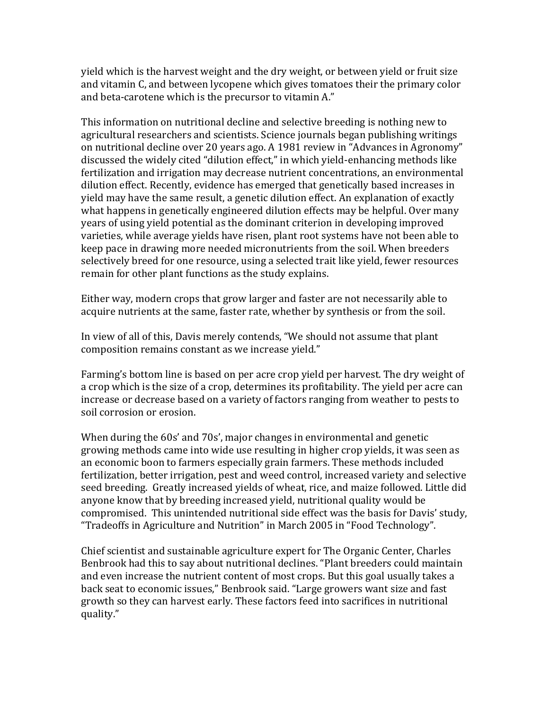yield which is the harvest weight and the dry weight, or between yield or fruit size and vitamin C, and between lycopene which gives tomatoes their the primary color and beta-carotene which is the precursor to vitamin A."

This information on nutritional decline and selective breeding is nothing new to agricultural researchers and scientists. Science journals began publishing writings on nutritional decline over 20 years ago. A 1981 review in "Advances in Agronomy" discussed the widely cited "dilution effect," in which yield-enhancing methods like fertilization and irrigation may decrease nutrient concentrations, an environmental dilution effect. Recently, evidence has emerged that genetically based increases in yield may have the same result, a genetic dilution effect. An explanation of exactly what happens in genetically engineered dilution effects may be helpful. Over many years of using yield potential as the dominant criterion in developing improved varieties, while average yields have risen, plant root systems have not been able to keep pace in drawing more needed micronutrients from the soil. When breeders selectively breed for one resource, using a selected trait like yield, fewer resources remain for other plant functions as the study explains.

Either way, modern crops that grow larger and faster are not necessarily able to acquire nutrients at the same, faster rate, whether by synthesis or from the soil.

In view of all of this, Davis merely contends, "We should not assume that plant composition remains constant as we increase yield."

Farming's bottom line is based on per acre crop yield per harvest. The dry weight of a crop which is the size of a crop, determines its profitability. The yield per acre can increase or decrease based on a variety of factors ranging from weather to pests to soil corrosion or erosion.

When during the 60s' and 70s', major changes in environmental and genetic growing methods came into wide use resulting in higher crop yields, it was seen as an economic boon to farmers especially grain farmers. These methods included fertilization, better irrigation, pest and weed control, increased variety and selective seed breeding. Greatly increased yields of wheat, rice, and maize followed. Little did anyone know that by breeding increased yield, nutritional quality would be compromised. This unintended nutritional side effect was the basis for Davis' study, "Tradeoffs in Agriculture and Nutrition" in March 2005 in "Food Technology".

Chief scientist and sustainable agriculture expert for The Organic Center, Charles Benbrook had this to say about nutritional declines. "Plant breeders could maintain and even increase the nutrient content of most crops. But this goal usually takes a back seat to economic issues," Benbrook said. "Large growers want size and fast growth so they can harvest early. These factors feed into sacrifices in nutritional quality."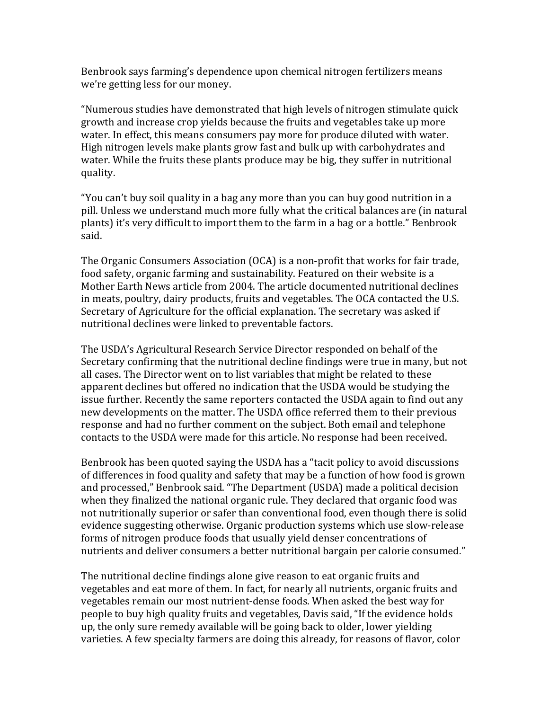Benbrook says farming's dependence upon chemical nitrogen fertilizers means we're getting less for our money.

"Numerous studies have demonstrated that high levels of nitrogen stimulate quick growth and increase crop yields because the fruits and vegetables take up more water. In effect, this means consumers pay more for produce diluted with water. High nitrogen levels make plants grow fast and bulk up with carbohydrates and water. While the fruits these plants produce may be big, they suffer in nutritional quality.

"You can't buy soil quality in a bag any more than you can buy good nutrition in a pill. Unless we understand much more fully what the critical balances are (in natural plants) it's very difficult to import them to the farm in a bag or a bottle." Benbrook said.

The Organic Consumers Association (OCA) is a non-profit that works for fair trade, food safety, organic farming and sustainability. Featured on their website is a Mother Earth News article from 2004. The article documented nutritional declines in meats, poultry, dairy products, fruits and vegetables. The OCA contacted the U.S. Secretary of Agriculture for the official explanation. The secretary was asked if nutritional declines were linked to preventable factors.

The USDA's Agricultural Research Service Director responded on behalf of the Secretary confirming that the nutritional decline findings were true in many, but not all cases. The Director went on to list variables that might be related to these apparent declines but offered no indication that the USDA would be studying the issue further. Recently the same reporters contacted the USDA again to find out any new developments on the matter. The USDA office referred them to their previous response and had no further comment on the subject. Both email and telephone contacts to the USDA were made for this article. No response had been received.

Benbrook has been quoted saying the USDA has a "tacit policy to avoid discussions of differences in food quality and safety that may be a function of how food is grown and processed," Benbrook said. "The Department (USDA) made a political decision when they finalized the national organic rule. They declared that organic food was not nutritionally superior or safer than conventional food, even though there is solid evidence suggesting otherwise. Organic production systems which use slow-release forms of nitrogen produce foods that usually yield denser concentrations of nutrients and deliver consumers a better nutritional bargain per calorie consumed."

The nutritional decline findings alone give reason to eat organic fruits and vegetables and eat more of them. In fact, for nearly all nutrients, organic fruits and vegetables remain our most nutrient-dense foods. When asked the best way for people to buy high quality fruits and vegetables, Davis said, "If the evidence holds up, the only sure remedy available will be going back to older, lower yielding varieties. A few specialty farmers are doing this already, for reasons of flavor, color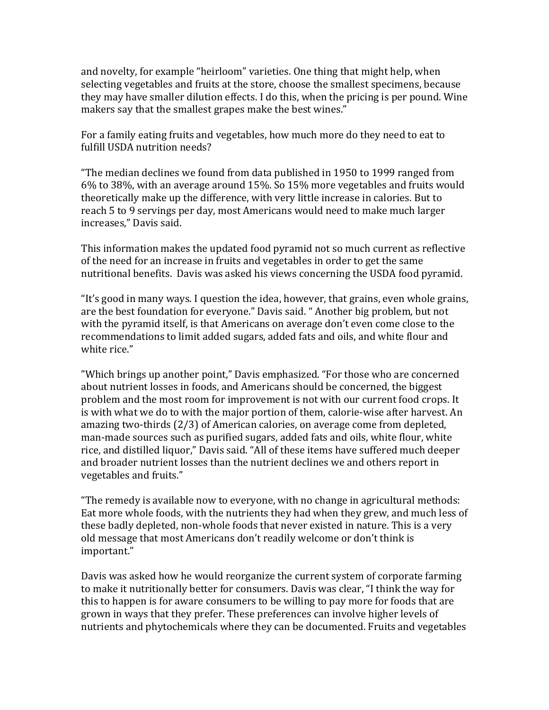and novelty, for example "heirloom" varieties. One thing that might help, when selecting vegetables and fruits at the store, choose the smallest specimens, because they may have smaller dilution effects. I do this, when the pricing is per pound. Wine makers say that the smallest grapes make the best wines."

For a family eating fruits and vegetables, how much more do they need to eat to fulfill USDA nutrition needs?

"The median declines we found from data published in 1950 to 1999 ranged from  $6\%$  to 38%, with an average around 15%. So 15% more vegetables and fruits would theoretically make up the difference, with very little increase in calories. But to reach 5 to 9 servings per day, most Americans would need to make much larger increases," Davis said.

This information makes the updated food pyramid not so much current as reflective of the need for an increase in fruits and vegetables in order to get the same nutritional benefits. Davis was asked his views concerning the USDA food pyramid.

"It's good in many ways. I question the idea, however, that grains, even whole grains, are the best foundation for everyone." Davis said. " Another big problem, but not with the pyramid itself, is that Americans on average don't even come close to the recommendations to limit added sugars, added fats and oils, and white flour and white rice."

"Which brings up another point," Davis emphasized. "For those who are concerned about nutrient losses in foods, and Americans should be concerned, the biggest problem and the most room for improvement is not with our current food crops. It is with what we do to with the major portion of them, calorie-wise after harvest. An amazing two-thirds  $(2/3)$  of American calories, on average come from depleted, man-made sources such as purified sugars, added fats and oils, white flour, white rice, and distilled liquor," Davis said. "All of these items have suffered much deeper and broader nutrient losses than the nutrient declines we and others report in vegetables and fruits."

"The remedy is available now to everyone, with no change in agricultural methods: Eat more whole foods, with the nutrients they had when they grew, and much less of these badly depleted, non-whole foods that never existed in nature. This is a very old message that most Americans don't readily welcome or don't think is important."

Davis was asked how he would reorganize the current system of corporate farming to make it nutritionally better for consumers. Davis was clear, "I think the way for this to happen is for aware consumers to be willing to pay more for foods that are grown in ways that they prefer. These preferences can involve higher levels of nutrients and phytochemicals where they can be documented. Fruits and vegetables